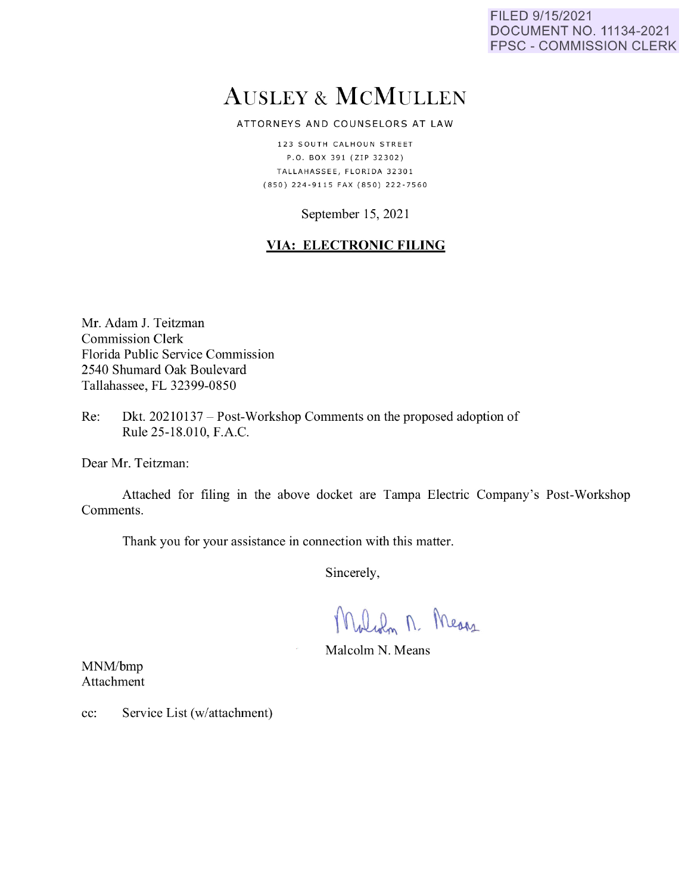FILED 9/15/2021 DOCUMENT NO. 11134-2021 FPSC - COMMISSION CLERK

# AUSLEY & McMULLEN

ATTORNEYS AND COUNSELORS AT LAW

123 SOUTH CALHOUN STREET P.O. BOX 391 (ZIP 32302) TALLAHASSEE, FLORIDA 32301 {850) 224 - 9 11 5 FAX {850) 222 - 7560

September 15, 2021

# **VIA: ELECTRONIC FILING**

Mr. Adam J. Teitzman Commission Clerk Florida Public Service Commission 2540 Shumard Oak Boulevard Tallahassee, FL 32399-0850

Re: Dkt. 20210137 – Post-Workshop Comments on the proposed adoption of Rule 25-18.010, F.A.C.

Dear Mr. Teitzman:

Attached for filing in the above docket are Tampa Electric Company's Post-Workshop Comments.

Thank you for your assistance in connection with this matter.

Sincerely,

While M. Means

Malcolm N. Means

MNM/bmp Attachment

cc: Service List (w/attachment)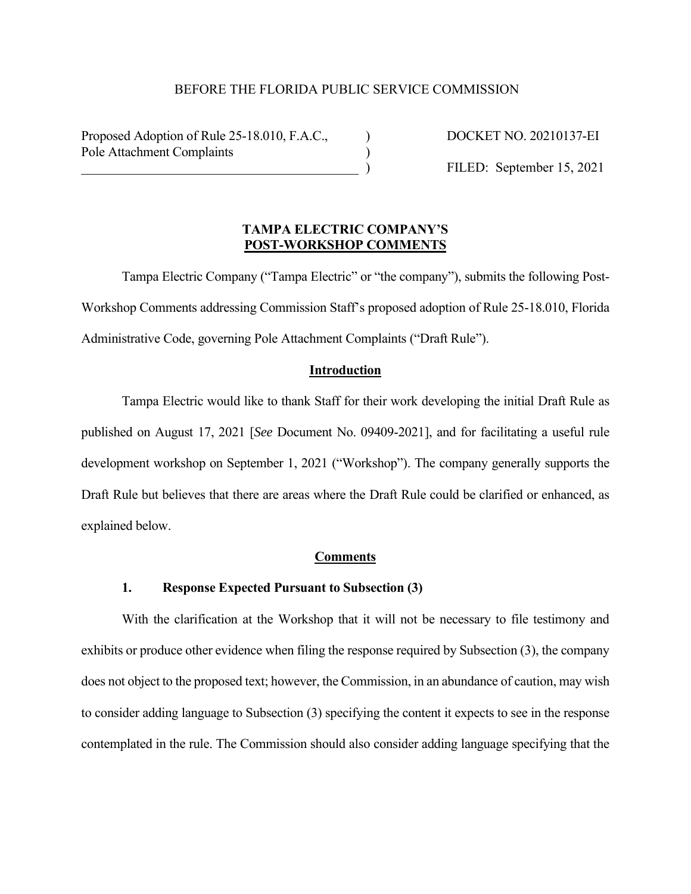## BEFORE THE FLORIDA PUBLIC SERVICE COMMISSION

Proposed Adoption of Rule 25-18.010, F.A.C., DOCKET NO. 20210137-EI Pole Attachment Complaints (a)

 $\text{FILED: September 15, 2021}$ 

## **TAMPA ELECTRIC COMPANY'S POST-WORKSHOP COMMENTS**

Tampa Electric Company ("Tampa Electric" or "the company"), submits the following Post-Workshop Comments addressing Commission Staff's proposed adoption of Rule 25-18.010, Florida Administrative Code, governing Pole Attachment Complaints ("Draft Rule").

#### **Introduction**

Tampa Electric would like to thank Staff for their work developing the initial Draft Rule as published on August 17, 2021 [*See* Document No. 09409-2021], and for facilitating a useful rule development workshop on September 1, 2021 ("Workshop"). The company generally supports the Draft Rule but believes that there are areas where the Draft Rule could be clarified or enhanced, as explained below.

#### **Comments**

#### **1. Response Expected Pursuant to Subsection (3)**

With the clarification at the Workshop that it will not be necessary to file testimony and exhibits or produce other evidence when filing the response required by Subsection (3), the company does not object to the proposed text; however, the Commission, in an abundance of caution, may wish to consider adding language to Subsection (3) specifying the content it expects to see in the response contemplated in the rule. The Commission should also consider adding language specifying that the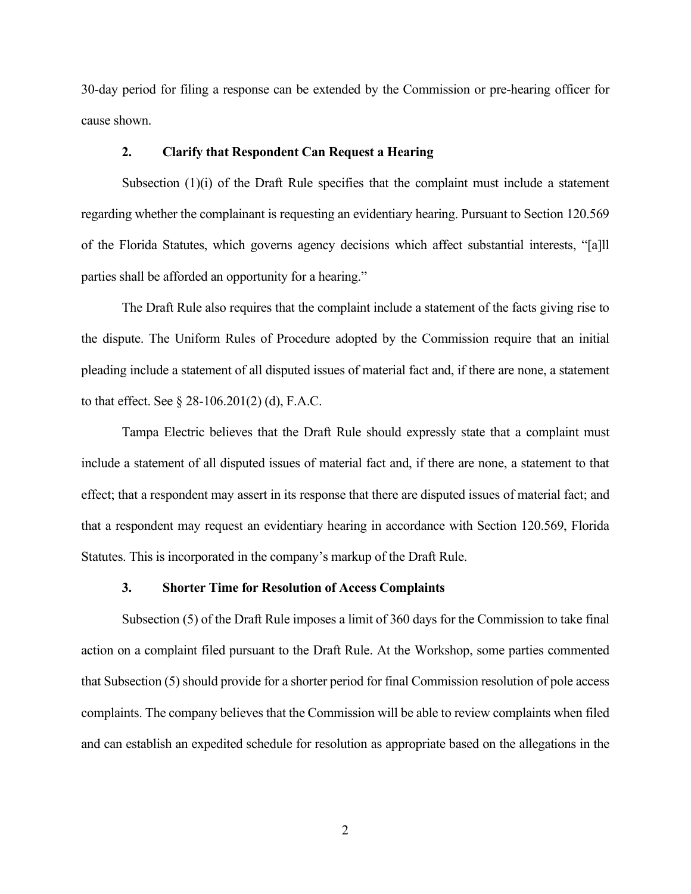30-day period for filing a response can be extended by the Commission or pre-hearing officer for cause shown.

## **2. Clarify that Respondent Can Request a Hearing**

Subsection  $(1)(i)$  of the Draft Rule specifies that the complaint must include a statement regarding whether the complainant is requesting an evidentiary hearing. Pursuant to Section 120.569 of the Florida Statutes, which governs agency decisions which affect substantial interests, "[a]ll parties shall be afforded an opportunity for a hearing."

The Draft Rule also requires that the complaint include a statement of the facts giving rise to the dispute. The Uniform Rules of Procedure adopted by the Commission require that an initial pleading include a statement of all disputed issues of material fact and, if there are none, a statement to that effect. See § 28-106.201(2) (d), F.A.C.

Tampa Electric believes that the Draft Rule should expressly state that a complaint must include a statement of all disputed issues of material fact and, if there are none, a statement to that effect; that a respondent may assert in its response that there are disputed issues of material fact; and that a respondent may request an evidentiary hearing in accordance with Section 120.569, Florida Statutes. This is incorporated in the company's markup of the Draft Rule.

## **3. Shorter Time for Resolution of Access Complaints**

Subsection (5) of the Draft Rule imposes a limit of 360 days for the Commission to take final action on a complaint filed pursuant to the Draft Rule. At the Workshop, some parties commented that Subsection (5) should provide for a shorter period for final Commission resolution of pole access complaints. The company believes that the Commission will be able to review complaints when filed and can establish an expedited schedule for resolution as appropriate based on the allegations in the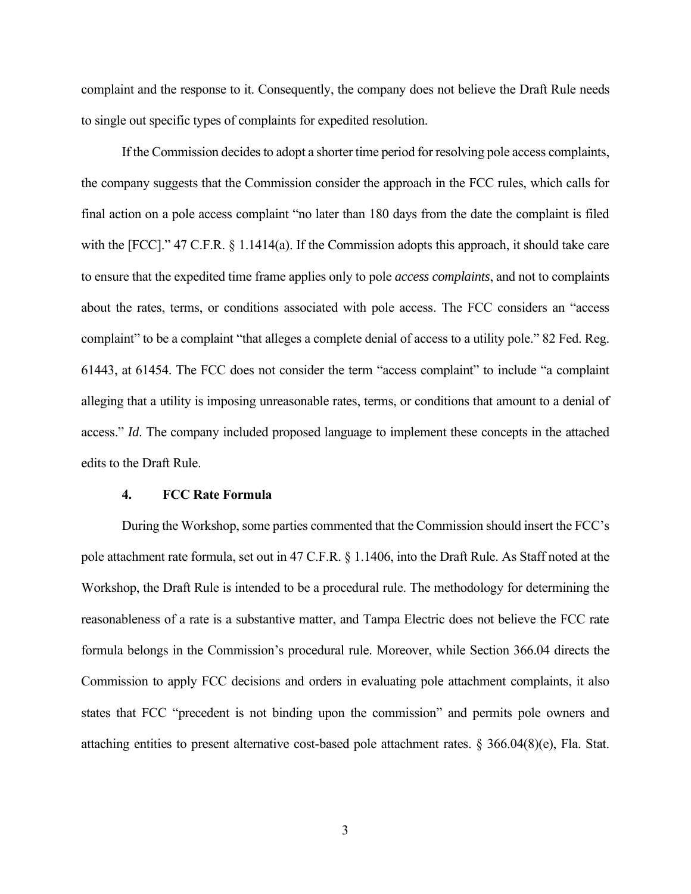complaint and the response to it. Consequently, the company does not believe the Draft Rule needs to single out specific types of complaints for expedited resolution.

If the Commission decides to adopt a shorter time period for resolving pole access complaints, the company suggests that the Commission consider the approach in the FCC rules, which calls for final action on a pole access complaint "no later than 180 days from the date the complaint is filed with the [FCC]." 47 C.F.R. § 1.1414(a). If the Commission adopts this approach, it should take care to ensure that the expedited time frame applies only to pole *access complaints*, and not to complaints about the rates, terms, or conditions associated with pole access. The FCC considers an "access complaint" to be a complaint "that alleges a complete denial of access to a utility pole." 82 Fed. Reg. 61443, at 61454. The FCC does not consider the term "access complaint" to include "a complaint alleging that a utility is imposing unreasonable rates, terms, or conditions that amount to a denial of access." *Id*. The company included proposed language to implement these concepts in the attached edits to the Draft Rule.

#### **4. FCC Rate Formula**

During the Workshop, some parties commented that the Commission should insert the FCC's pole attachment rate formula, set out in 47 C.F.R. § 1.1406, into the Draft Rule. As Staff noted at the Workshop, the Draft Rule is intended to be a procedural rule. The methodology for determining the reasonableness of a rate is a substantive matter, and Tampa Electric does not believe the FCC rate formula belongs in the Commission's procedural rule. Moreover, while Section 366.04 directs the Commission to apply FCC decisions and orders in evaluating pole attachment complaints, it also states that FCC "precedent is not binding upon the commission" and permits pole owners and attaching entities to present alternative cost-based pole attachment rates. § 366.04(8)(e), Fla. Stat.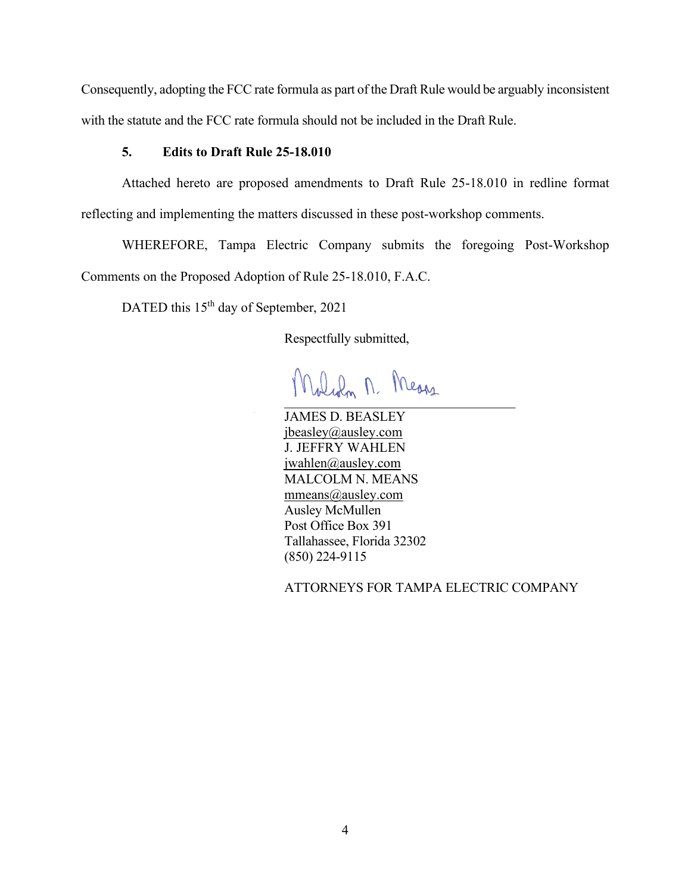Consequently, adopting the FCC rate formula as part of the Draft Rule would be arguably inconsistent with the statute and the FCC rate formula should not be included in the Draft Rule.

## **5. Edits to Draft Rule 25-18.010**

Attached hereto are proposed amendments to Draft Rule 25-18.010 in redline format reflecting and implementing the matters discussed in these post-workshop comments.

WHEREFORE, Tampa Electric Company submits the foregoing Post-Workshop Comments on the Proposed Adoption of Rule 25-18.010, F.A.C.

DATED this 15<sup>th</sup> day of September, 2021

Respectfully submitted,

 $\mathbf{r} = \mathbf{r} \cdot \mathbf{r}$ 

JAMES D. BEASLEY jbeasley@ausley.com J. JEFFRY WAHLEN jwahlen@ausley.com MALCOLM N. MEANS mmeans@ausley.com Ausley McMullen Post Office Box 391 Tallahassee, Florida 32302 (850) 224-9115

ATTORNEYS FOR TAMPA ELECTRIC COMPANY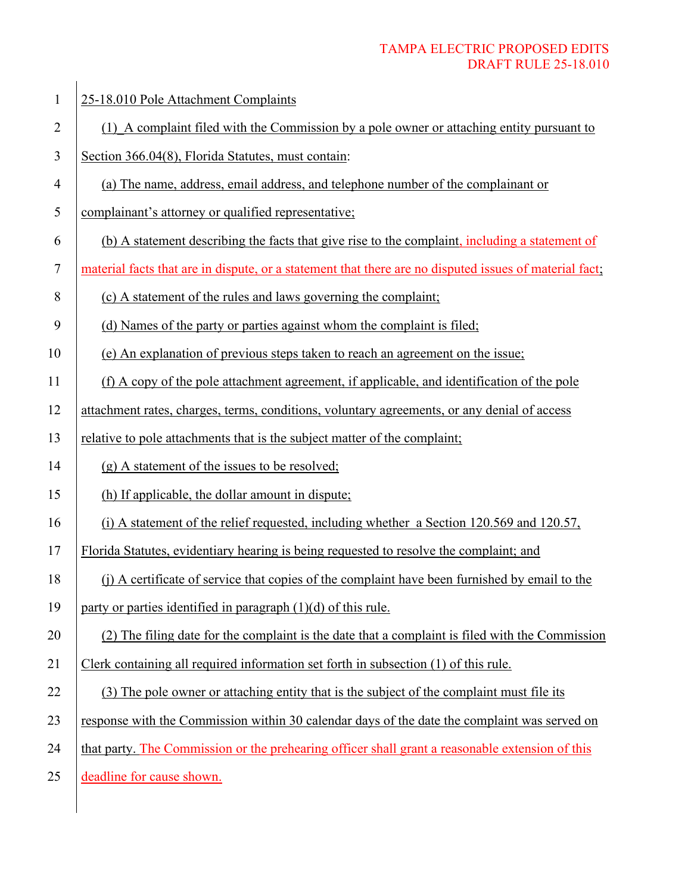# TAMPA ELECTRIC PROPOSED EDITS DRAFT RULE 25-18.010

| $\mathbf{1}$   | 25-18.010 Pole Attachment Complaints                                                                   |
|----------------|--------------------------------------------------------------------------------------------------------|
| $\overline{2}$ | (1) A complaint filed with the Commission by a pole owner or attaching entity pursuant to              |
| 3              | Section 366.04(8), Florida Statutes, must contain:                                                     |
| $\overline{4}$ | (a) The name, address, email address, and telephone number of the complainant or                       |
| 5              | complainant's attorney or qualified representative;                                                    |
| 6              | (b) A statement describing the facts that give rise to the complaint, including a statement of         |
| $\tau$         | material facts that are in dispute, or a statement that there are no disputed issues of material fact; |
| 8              | (c) A statement of the rules and laws governing the complaint;                                         |
| 9              | (d) Names of the party or parties against whom the complaint is filed;                                 |
| 10             | (e) An explanation of previous steps taken to reach an agreement on the issue;                         |
| 11             | (f) A copy of the pole attachment agreement, if applicable, and identification of the pole             |
| 12             | attachment rates, charges, terms, conditions, voluntary agreements, or any denial of access            |
| 13             | relative to pole attachments that is the subject matter of the complaint;                              |
| 14             | (g) A statement of the issues to be resolved;                                                          |
| 15             | (h) If applicable, the dollar amount in dispute;                                                       |
| 16             | (i) A statement of the relief requested, including whether a Section 120.569 and 120.57,               |
| 17             | Florida Statutes, evidentiary hearing is being requested to resolve the complaint; and                 |
| 18             | (j) A certificate of service that copies of the complaint have been furnished by email to the          |
| 19             | party or parties identified in paragraph $(1)(d)$ of this rule.                                        |
| 20             | (2) The filing date for the complaint is the date that a complaint is filed with the Commission        |
| 21             | Clerk containing all required information set forth in subsection (1) of this rule.                    |
| 22             | (3) The pole owner or attaching entity that is the subject of the complaint must file its              |
| 23             | response with the Commission within 30 calendar days of the date the complaint was served on           |
| 24             | that party. The Commission or the prehearing officer shall grant a reasonable extension of this        |
| 25             | deadline for cause shown.                                                                              |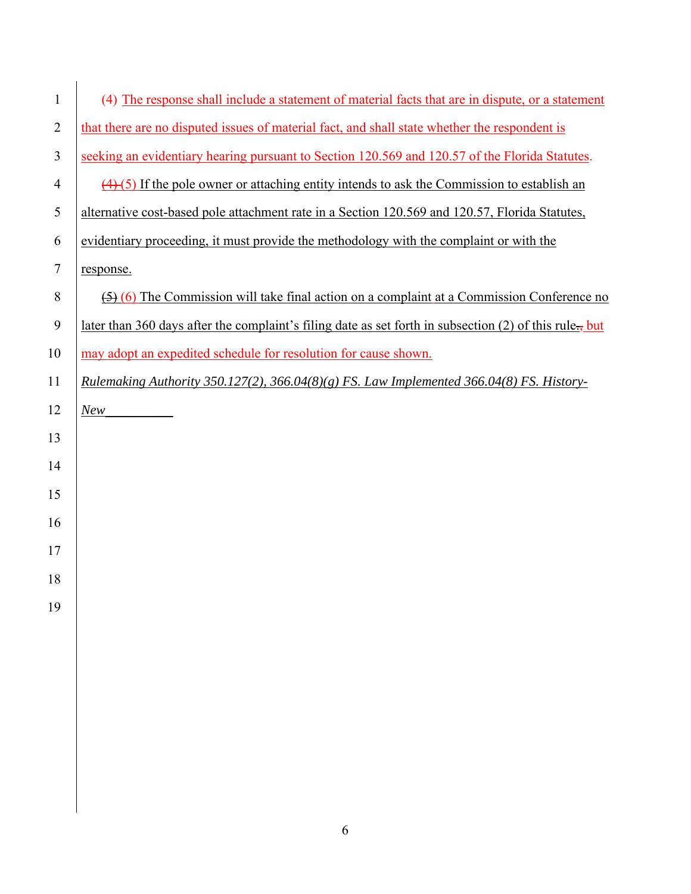| $\mathbf{1}$   | (4) The response shall include a statement of material facts that are in dispute, or a statement               |
|----------------|----------------------------------------------------------------------------------------------------------------|
| $\overline{2}$ | that there are no disputed issues of material fact, and shall state whether the respondent is                  |
| 3              | seeking an evidentiary hearing pursuant to Section 120.569 and 120.57 of the Florida Statutes.                 |
| $\overline{4}$ | $\left(\frac{4}{5}\right)$ If the pole owner or attaching entity intends to ask the Commission to establish an |
| 5              | alternative cost-based pole attachment rate in a Section 120.569 and 120.57, Florida Statutes,                 |
| 6              | evidentiary proceeding, it must provide the methodology with the complaint or with the                         |
| $\overline{7}$ | response.                                                                                                      |
| 8              | $\overline{(5)}$ (6) The Commission will take final action on a complaint at a Commission Conference no        |
| 9              | later than 360 days after the complaint's filing date as set forth in subsection (2) of this rule.             |
| 10             | may adopt an expedited schedule for resolution for cause shown.                                                |
| 11             | Rulemaking Authority 350.127(2), 366.04(8)(g) FS. Law Implemented 366.04(8) FS. History-                       |
| 12             | New                                                                                                            |
| 13             |                                                                                                                |
| 14             |                                                                                                                |
| 15             |                                                                                                                |
| 16             |                                                                                                                |
| 17             |                                                                                                                |
| 18             |                                                                                                                |
| 19             |                                                                                                                |
|                |                                                                                                                |
|                |                                                                                                                |
|                |                                                                                                                |
|                |                                                                                                                |
|                |                                                                                                                |
|                |                                                                                                                |
|                |                                                                                                                |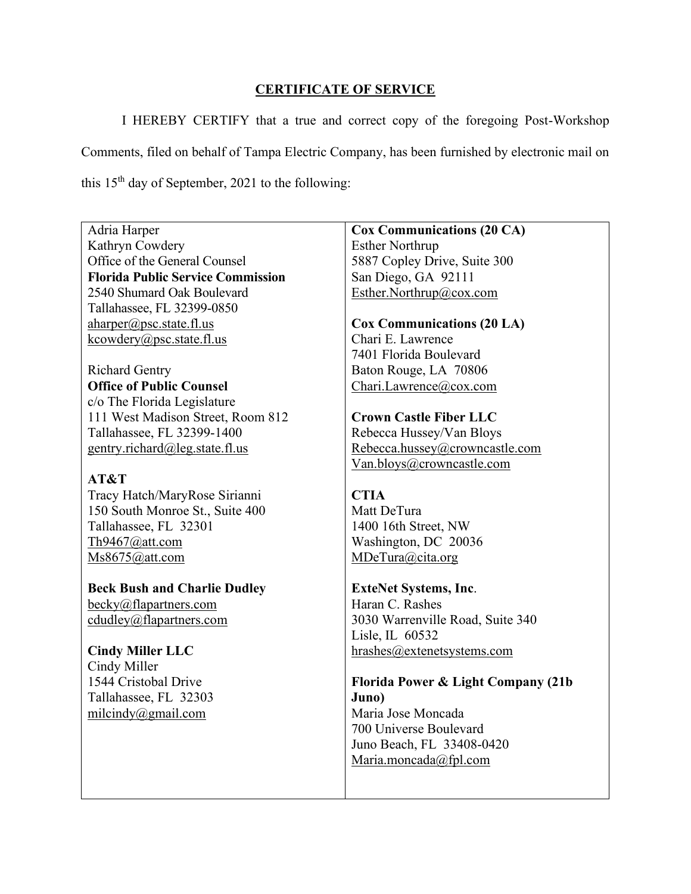# **CERTIFICATE OF SERVICE**

I HEREBY CERTIFY that a true and correct copy of the foregoing Post-Workshop Comments, filed on behalf of Tampa Electric Company, has been furnished by electronic mail on this  $15<sup>th</sup>$  day of September, 2021 to the following:

Adria Harper Kathryn Cowdery Office of the General Counsel **Florida Public Service Commission** 2540 Shumard Oak Boulevard Tallahassee, FL 32399-0850 aharper@psc.state.fl.us kcowdery@psc.state.fl.us

Richard Gentry **Office of Public Counsel** c/o The Florida Legislature 111 West Madison Street, Room 812 Tallahassee, FL 32399-1400 gentry.richard@leg.state.fl.us

# **AT&T**

Tracy Hatch/MaryRose Sirianni 150 South Monroe St., Suite 400 Tallahassee, FL 32301 Th9467@att.com Ms8675@att.com

**Beck Bush and Charlie Dudley** becky@flapartners.com cdudley@flapartners.com

**Cindy Miller LLC** Cindy Miller 1544 Cristobal Drive Tallahassee, FL 32303 milcindy@gmail.com

**Cox Communications (20 CA)** Esther Northrup 5887 Copley Drive, Suite 300 San Diego, GA 92111 Esther.Northrup@cox.com

**Cox Communications (20 LA)** Chari E. Lawrence 7401 Florida Boulevard Baton Rouge, LA 70806 Chari.Lawrence@cox.com

**Crown Castle Fiber LLC** Rebecca Hussey/Van Bloys Rebecca.hussey@crowncastle.com Van.bloys@crowncastle.com

# **CTIA**

Matt DeTura 1400 16th Street, NW Washington, DC 20036 MDeTura@cita.org

**ExteNet Systems, Inc**. Haran C. Rashes 3030 Warrenville Road, Suite 340 Lisle, IL 60532 hrashes@extenetsystems.com

**Florida Power & Light Company (21b Juno)** Maria Jose Moncada 700 Universe Boulevard Juno Beach, FL 33408-0420 Maria.moncada@fpl.com